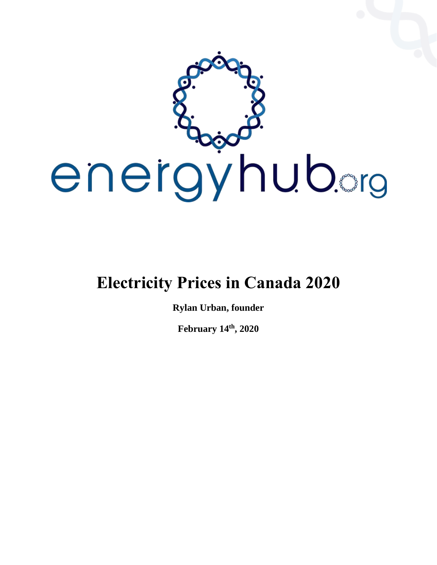

# **Electricity Prices in Canada 2020**

**Rylan Urban, founder**

**February 14th, 2020**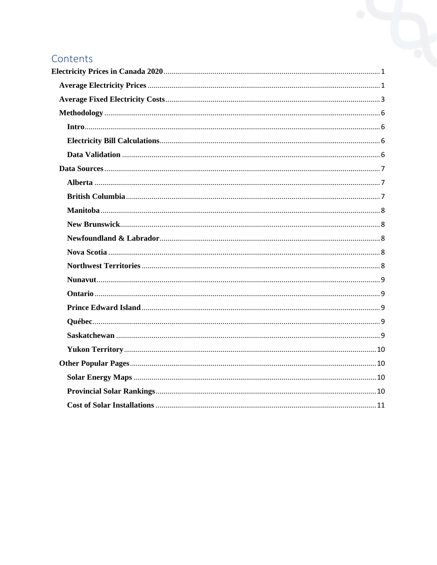## Contents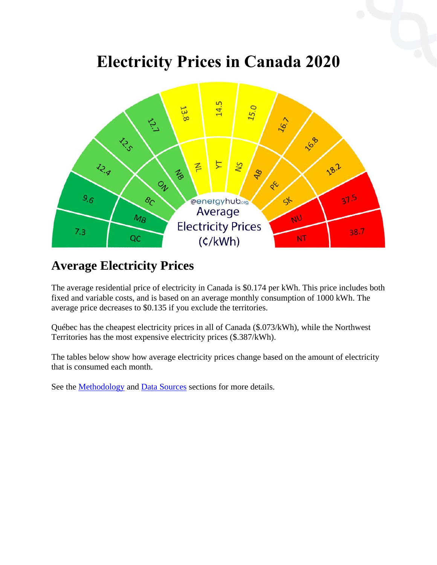# **Electricity Prices in Canada 2020**

<span id="page-2-0"></span>

## <span id="page-2-1"></span>**Average Electricity Prices**

The average residential price of electricity in Canada is \$0.174 per kWh. This price includes both fixed and variable costs, and is based on an average monthly consumption of 1000 kWh. The average price decreases to \$0.135 if you exclude the territories.

Québec has the cheapest electricity prices in all of Canada (\$.073/kWh), while the Northwest Territories has the most expensive electricity prices (\$.387/kWh).

The tables below show how average electricity prices change based on the amount of electricity that is consumed each month.

See the [Methodology](https://energyhub.org/electricity-prices/?fbclid=IwAR0gu8Udn02aumBOxA1mrAKSGotOtD2VIIjCwvgydwo6a7_SN2x2R6wcRzA#methodology) and [Data Sources](https://energyhub.org/electricity-prices/?fbclid=IwAR0gu8Udn02aumBOxA1mrAKSGotOtD2VIIjCwvgydwo6a7_SN2x2R6wcRzA#data-sources) sections for more details.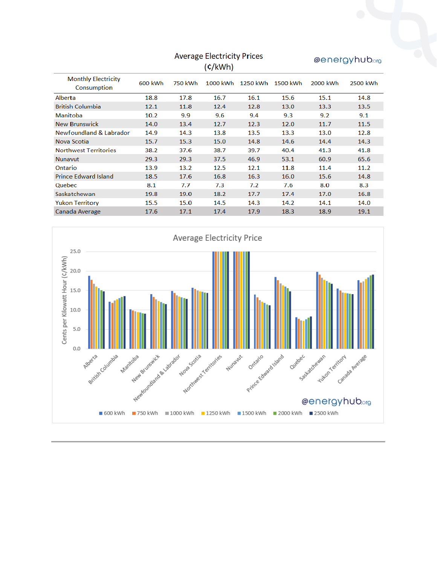|                                           | <b>Average Electricity Prices</b> |         |          |          |          | @energyhub.org |          |
|-------------------------------------------|-----------------------------------|---------|----------|----------|----------|----------------|----------|
|                                           |                                   |         | (c/kWh)  |          |          |                |          |
| <b>Monthly Electricity</b><br>Consumption | 600 kWh                           | 750 kWh | 1000 kWh | 1250 kWh | 1500 kWh | 2000 kWh       | 2500 kWh |
| Alberta                                   | 18.8                              | 17.8    | 16.7     | 16.1     | 15.6     | 15.1           | 14.8     |
| <b>British Columbia</b>                   | 12.1                              | 11.8    | 12.4     | 12.8     | 13.0     | 13.3           | 13.5     |
| <b>Manitoba</b>                           | 10.2                              | 9.9     | 9.6      | 9.4      | 9.3      | 9.2            | 9.1      |
| <b>New Brunswick</b>                      | 14.0                              | 13.4    | 12.7     | 12.3     | 12.0     | 11.7           | 11.5     |
| Newfoundland & Labrador                   | 14.9                              | 14.3    | 13.8     | 13.5     | 13.3     | 13.0           | 12.8     |
| Nova Scotia                               | 15.7                              | 15.3    | 15.0     | 14.8     | 14.6     | 14.4           | 14.3     |
| <b>Northwest Territories</b>              | 38.2                              | 37.6    | 38.7     | 39.7     | 40.4     | 41.3           | 41.8     |
| <b>Nunavut</b>                            | 29.3                              | 29.3    | 37.5     | 46.9     | 53.1     | 60.9           | 65.6     |
| Ontario                                   | 13.9                              | 13.2    | 12.5     | 12.1     | 11.8     | 11.4           | 11.2     |
| <b>Prince Edward Island</b>               | 18.5                              | 17.6    | 16.8     | 16.3     | 16.0     | 15.6           | 14.8     |
| Quebec                                    | 8.1                               | 7.7     | 7.3      | 7.2      | 7.6      | 8.0            | 8.3      |
| Saskatchewan                              | 19.8                              | 19.0    | 18.2     | 17.7     | 17.4     | 17.0           | 16.8     |
| <b>Yukon Territory</b>                    | 15.5                              | 15.0    | 14.5     | 14.3     | 14.2     | 14.1           | 14.0     |
| Canada Average                            | 17.6                              | 17.1    | 17.4     | 17.9     | 18.3     | 18.9           | 19.1     |

<span id="page-3-0"></span>

## **Average Electricity Prices**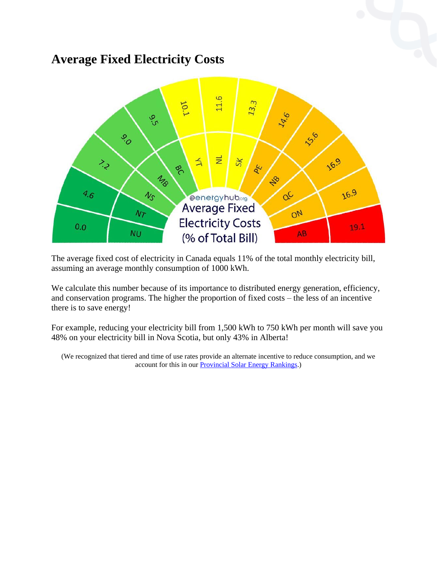## **Average Fixed Electricity Costs**



The average fixed cost of electricity in Canada equals 11% of the total monthly electricity bill, assuming an average monthly consumption of 1000 kWh.

We calculate this number because of its importance to distributed energy generation, efficiency, and conservation programs. The higher the proportion of fixed costs – the less of an incentive there is to save energy!

For example, reducing your electricity bill from 1,500 kWh to 750 kWh per month will save you 48% on your electricity bill in Nova Scotia, but only 43% in Alberta!

(We recognized that tiered and time of use rates provide an alternate incentive to reduce consumption, and we account for this in our **Provincial Solar Energy Rankings.**)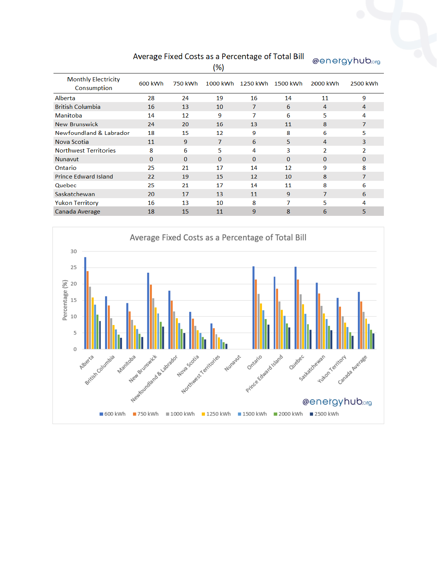|                                           |          |          | (%)            |          |          |                | 501019112209 |
|-------------------------------------------|----------|----------|----------------|----------|----------|----------------|--------------|
| <b>Monthly Electricity</b><br>Consumption | 600 kWh  | 750 kWh  | 1000 kWh       | 1250 kWh | 1500 kWh | 2000 kWh       | 2500 kWh     |
| Alberta                                   | 28       | 24       | 19             | 16       | 14       | 11             | 9            |
| <b>British Columbia</b>                   | 16       | 13       | 10             | 7        | 6        | 4              | 4            |
| Manitoba                                  | 14       | 12       | 9              | 7        | 6        | 5              | 4            |
| <b>New Brunswick</b>                      | 24       | 20       | 16             | 13       | 11       | 8              | 7            |
| Newfoundland & Labrador                   | 18       | 15       | 12             | 9        | 8        | 6              | 5            |
| Nova Scotia                               | 11       | 9        | $\overline{7}$ | 6        | 5.       | 4              | 3            |
| <b>Northwest Territories</b>              | 8        | 6        | 5              | 4        | 3        | 2              | 2            |
| <b>Nunavut</b>                            | $\Omega$ | $\Omega$ | $\Omega$       | $\Omega$ | $\Omega$ | $\Omega$       | $\mathbf{0}$ |
| Ontario                                   | 25       | 21       | 17             | 14       | 12       | 9              | 8            |
| <b>Prince Edward Island</b>               | 22       | 19       | 15             | 12       | 10       | 8              | 7            |
| Quebec                                    | 25       | 21       | 17             | 14       | 11       | 8              | 6            |
| Saskatchewan                              | 20       | 17       | 13             | 11       | 9        | $\overline{7}$ | 6            |
| <b>Yukon Territory</b>                    | 16       | 13       | 10             | 8        | 7        | 5              | 4            |
| Canada Average                            | 18       | 15       | 11             | 9        | 8        | 6              | 5            |

#### Average Fixed Costs as a Percentage of Total Bill

@energyhub.org

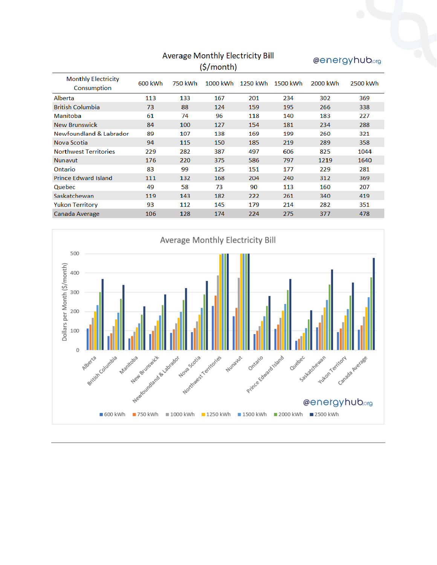| $\check{ }$<br>(\$/month)                 |         |         |          |          |          |          |          |
|-------------------------------------------|---------|---------|----------|----------|----------|----------|----------|
| <b>Monthly Electricity</b><br>Consumption | 600 kWh | 750 kWh | 1000 kWh | 1250 kWh | 1500 kWh | 2000 kWh | 2500 kWh |
| Alberta                                   | 113     | 133     | 167      | 201      | 234      | 302      | 369      |
| <b>British Columbia</b>                   | 73      | 88      | 124      | 159      | 195      | 266      | 338      |
| Manitoba                                  | 61      | 74      | 96       | 118      | 140      | 183      | 227      |
| <b>New Brunswick</b>                      | 84      | 100     | 127      | 154      | 181      | 234      | 288      |
| Newfoundland & Labrador                   | 89      | 107     | 138      | 169      | 199      | 260      | 321      |
| Nova Scotia                               | 94      | 115     | 150      | 185      | 219      | 289      | 358      |
| <b>Northwest Territories</b>              | 229     | 282     | 387      | 497      | 606      | 825      | 1044     |
| <b>Nunavut</b>                            | 176     | 220     | 375      | 586      | 797      | 1219     | 1640     |
| Ontario                                   | 83      | 99      | 125      | 151      | 177      | 229      | 281      |
| <b>Prince Edward Island</b>               | 111     | 132     | 168      | 204      | 240      | 312      | 369      |
| Quebec                                    | 49      | 58      | 73       | 90       | 113      | 160      | 207      |
| Saskatchewan                              | 119     | 143     | 182      | 222      | 261      | 340      | 419      |
| <b>Yukon Territory</b>                    | 93      | 112     | 145      | 179      | 214      | 282      | 351      |
| Canada Average                            | 106     | 128     | 174      | 224      | 275      | 377      | 478      |



@energyhub.org

<span id="page-6-0"></span>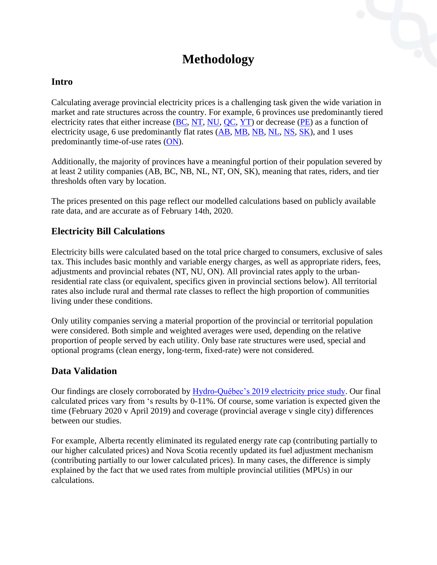## **Methodology**

#### <span id="page-7-0"></span>**Intro**

Calculating average provincial electricity prices is a challenging task given the wide variation in market and rate structures across the country. For example, 6 provinces use predominantly tiered electricity rates that either increase [\(BC,](https://energyhub.org/electricity-prices/?fbclid=IwAR0gu8Udn02aumBOxA1mrAKSGotOtD2VIIjCwvgydwo6a7_SN2x2R6wcRzA#british-columbia) [NT,](https://energyhub.org/electricity-prices/?fbclid=IwAR0gu8Udn02aumBOxA1mrAKSGotOtD2VIIjCwvgydwo6a7_SN2x2R6wcRzA#northwest-territories) [NU,](https://energyhub.org/electricity-prices/?fbclid=IwAR0gu8Udn02aumBOxA1mrAKSGotOtD2VIIjCwvgydwo6a7_SN2x2R6wcRzA#nunavut) [QC,](https://energyhub.org/electricity-prices/?fbclid=IwAR0gu8Udn02aumBOxA1mrAKSGotOtD2VIIjCwvgydwo6a7_SN2x2R6wcRzA#quebec) [YT\)](https://energyhub.org/electricity-prices/?fbclid=IwAR0gu8Udn02aumBOxA1mrAKSGotOtD2VIIjCwvgydwo6a7_SN2x2R6wcRzA#yukon-territory) or decrease [\(PE\)](https://energyhub.org/electricity-prices/?fbclid=IwAR0gu8Udn02aumBOxA1mrAKSGotOtD2VIIjCwvgydwo6a7_SN2x2R6wcRzA#prince-edward-island) as a function of electricity usage, 6 use predominantly flat rates [\(AB,](https://energyhub.org/electricity-prices/?fbclid=IwAR0gu8Udn02aumBOxA1mrAKSGotOtD2VIIjCwvgydwo6a7_SN2x2R6wcRzA#alberta) [MB,](https://energyhub.org/electricity-prices/?fbclid=IwAR0gu8Udn02aumBOxA1mrAKSGotOtD2VIIjCwvgydwo6a7_SN2x2R6wcRzA#manitoba) [NB,](https://energyhub.org/electricity-prices/?fbclid=IwAR0gu8Udn02aumBOxA1mrAKSGotOtD2VIIjCwvgydwo6a7_SN2x2R6wcRzA#new-brunswick) [NL,](https://energyhub.org/electricity-prices/?fbclid=IwAR0gu8Udn02aumBOxA1mrAKSGotOtD2VIIjCwvgydwo6a7_SN2x2R6wcRzA#newfoundland-labrador) [NS,](https://energyhub.org/electricity-prices/?fbclid=IwAR0gu8Udn02aumBOxA1mrAKSGotOtD2VIIjCwvgydwo6a7_SN2x2R6wcRzA#nova-scotia) [SK\)](https://energyhub.org/electricity-prices/?fbclid=IwAR0gu8Udn02aumBOxA1mrAKSGotOtD2VIIjCwvgydwo6a7_SN2x2R6wcRzA#saskatchewan), and 1 uses predominantly time-of-use rates [\(ON\)](https://energyhub.org/electricity-prices/?fbclid=IwAR0gu8Udn02aumBOxA1mrAKSGotOtD2VIIjCwvgydwo6a7_SN2x2R6wcRzA#ontario).

Additionally, the majority of provinces have a meaningful portion of their population severed by at least 2 utility companies (AB, BC, NB, NL, NT, ON, SK), meaning that rates, riders, and tier thresholds often vary by location.

The prices presented on this page reflect our modelled calculations based on publicly available rate data, and are accurate as of February 14th, 2020.

#### <span id="page-7-1"></span>**Electricity Bill Calculations**

Electricity bills were calculated based on the total price charged to consumers, exclusive of sales tax. This includes basic monthly and variable energy charges, as well as appropriate riders, fees, adjustments and provincial rebates (NT, NU, ON). All provincial rates apply to the urbanresidential rate class (or equivalent, specifics given in provincial sections below). All territorial rates also include rural and thermal rate classes to reflect the high proportion of communities living under these conditions.

Only utility companies serving a material proportion of the provincial or territorial population were considered. Both simple and weighted averages were used, depending on the relative proportion of people served by each utility. Only base rate structures were used, special and optional programs (clean energy, long-term, fixed-rate) were not considered.

#### <span id="page-7-2"></span>**Data Validation**

Our findings are closely corroborated by [Hydro-Québec's 2019 electricity price study.](http://www.hydroquebec.com/data/documents-donnees/pdf/comparison-electricity-prices.pdf) Our final calculated prices vary from 's results by 0-11%. Of course, some variation is expected given the time (February 2020 v April 2019) and coverage (provincial average v single city) differences between our studies.

For example, Alberta recently eliminated its regulated energy rate cap (contributing partially to our higher calculated prices) and Nova Scotia recently updated its fuel adjustment mechanism (contributing partially to our lower calculated prices). In many cases, the difference is simply explained by the fact that we used rates from multiple provincial utilities (MPUs) in our calculations.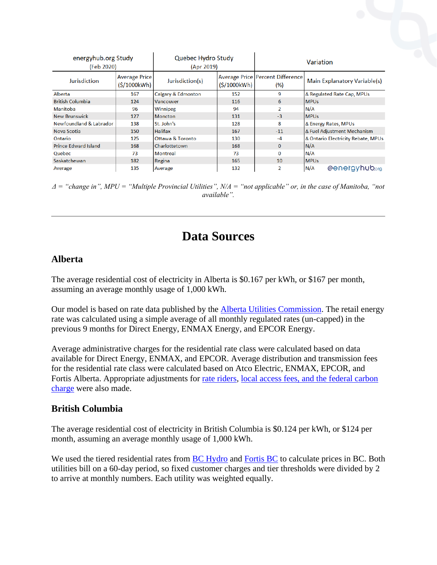| energyhub.org Study<br>(Feb 2020) |                                     | Quebec Hydro Study<br>(Apr 2019) |             | Variation                                        |                                     |  |
|-----------------------------------|-------------------------------------|----------------------------------|-------------|--------------------------------------------------|-------------------------------------|--|
| Jurisdiction                      | <b>Average Price</b><br>(S/1000kWh) | Jurisdiction(s)                  | (S/1000kWh) | <b>Average Price   Percent Difference</b><br>(%) | <b>Main Explanatory Variable(s)</b> |  |
| Alberta                           | 167                                 | Calgary & Edmonton               | 152         | 9                                                | ∆ Regulated Rate Cap, MPUs          |  |
| <b>British Columbia</b>           | 124                                 | <b>Vancouver</b>                 | 116         | 6                                                | <b>MPUs</b>                         |  |
| <b>Manitoba</b>                   | 96                                  | Winnipeg                         | 94          | $\overline{\phantom{a}}$                         | N/A                                 |  |
| <b>New Brunswick</b>              | 127                                 | <b>Moncton</b>                   | 131         | $-3$                                             | <b>MPUs</b>                         |  |
| Newfoundland & Labrador           | 138                                 | St. John's                       | 128         | 8                                                | Δ Energy Rates, MPUs                |  |
| Nova Scotia                       | 150                                 | <b>Halifax</b>                   | 167         | $-11$                                            | Δ Fuel Adjustment Mechanism         |  |
| Ontario                           | 125                                 | Ottawa & Toronto                 | 130         | $-4$                                             | Δ Ontario Electricity Rebate, MPUs  |  |
| <b>Prince Edward Island</b>       | 168                                 | Charlottetown                    | 168         | $\Omega$                                         | N/A                                 |  |
| Quebec                            | 73                                  | <b>Montreal</b>                  | 73          | $\Omega$                                         | N/A                                 |  |
| Saskatchewan                      | 182                                 | Regina                           | 165         | 10                                               | <b>MPUs</b>                         |  |
| Average                           | 135                                 | Average                          | 132         | 2                                                | @energyhub.org<br>N/A               |  |

*Δ = "change in", MPU = "Multiple Provincial Utilities", N/A = "not applicable" or, in the case of Manitoba, "not available".* 

### **Data Sources**

#### <span id="page-8-1"></span><span id="page-8-0"></span>**Alberta**

The average residential cost of electricity in Alberta is \$0.167 per kWh, or \$167 per month, assuming an average monthly usage of 1,000 kWh.

Our model is based on rate data published by the [Alberta Utilities Commission.](http://www.auc.ab.ca/Pages/current-rates-electric.aspx) The retail energy rate was calculated using a simple average of all monthly regulated rates (un-capped) in the previous 9 months for Direct Energy, ENMAX Energy, and EPCOR Energy.

Average administrative charges for the residential rate class were calculated based on data available for Direct Energy, ENMAX, and EPCOR. Average distribution and transmission fees for the residential rate class were calculated based on Atco Electric, ENMAX, EPCOR, and Fortis Alberta. Appropriate adjustments for [rate riders,](http://www.auc.ab.ca/pages/rate-riders.aspx) [local access fees, and the federal carbon](http://www.auc.ab.ca/pages/other-charges.aspx)  [charge](http://www.auc.ab.ca/pages/other-charges.aspx) were also made.

#### <span id="page-8-2"></span>**British Columbia**

The average residential cost of electricity in British Columbia is \$0.124 per kWh, or \$124 per month, assuming an average monthly usage of 1,000 kWh.

<span id="page-8-3"></span>We used the tiered residential rates from **BC** Hydro and Fortis **BC** to calculate prices in **BC**. Both utilities bill on a 60-day period, so fixed customer charges and tier thresholds were divided by 2 to arrive at monthly numbers. Each utility was weighted equally.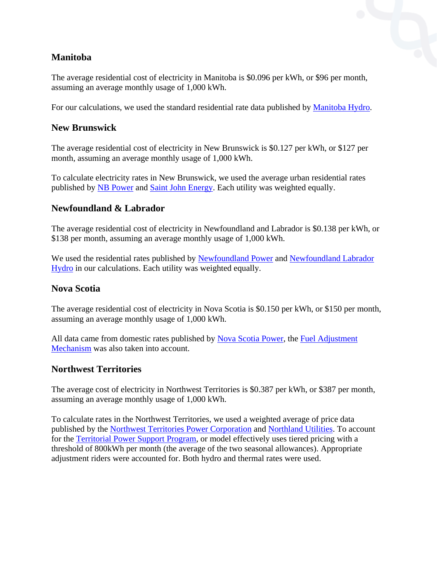#### **Manitoba**

The average residential cost of electricity in Manitoba is \$0.096 per kWh, or \$96 per month, assuming an average monthly usage of 1,000 kWh.

For our calculations, we used the standard residential rate data published by [Manitoba Hydro.](https://www.hydro.mb.ca/accounts_and_services/rates/residential_rates/)

#### <span id="page-9-0"></span>**New Brunswick**

The average residential cost of electricity in New Brunswick is \$0.127 per kWh, or \$127 per month, assuming an average monthly usage of 1,000 kWh.

To calculate electricity rates in New Brunswick, we used the average urban residential rates published by [NB Power](https://www.nbpower.com/en/products-services/residential/rates) and [Saint John Energy.](https://www.sjenergy.com/pages/saint-john-energy-rates) Each utility was weighted equally.

#### <span id="page-9-1"></span>**Newfoundland & Labrador**

The average residential cost of electricity in Newfoundland and Labrador is \$0.138 per kWh, or \$138 per month, assuming an average monthly usage of 1,000 kWh.

We used the residential rates published by [Newfoundland Power](https://www.newfoundlandpower.com/My-Account/Usage/Electricity-Rates) and Newfoundland Labrador [Hydro](https://nlhydro.com/electricity-rates/current-rates/) in our calculations. Each utility was weighted equally.

#### <span id="page-9-2"></span>**Nova Scotia**

The average residential cost of electricity in Nova Scotia is \$0.150 per kWh, or \$150 per month, assuming an average monthly usage of 1,000 kWh.

All data came from domestic rates published by [Nova Scotia Power,](https://www.nspower.ca/about-us/electricity/rates-tariffs/domestic-service-tariff) the [Fuel Adjustment](https://www.nspower.ca/about-us/electricity/rates-tariffs/fam)  [Mechanism](https://www.nspower.ca/about-us/electricity/rates-tariffs/fam) was also taken into account.

#### <span id="page-9-3"></span>**Northwest Territories**

The average cost of electricity in Northwest Territories is \$0.387 per kWh, or \$387 per month, assuming an average monthly usage of 1,000 kWh.

<span id="page-9-4"></span>To calculate rates in the Northwest Territories, we used a weighted average of price data published by the [Northwest Territories Power Corporation](https://www.ntpc.com/customer-service/residential-service/what-is-my-power-rate) and [Northland Utilities.](https://www.northlandutilities.com/en-ca/customer-billing-rates/rates-regulations.html) To account for the [Territorial Power Support Program,](https://www.ntpc.com/customer-service/territorial-power-support-program---tpsp) or model effectively uses tiered pricing with a threshold of 800kWh per month (the average of the two seasonal allowances). Appropriate adjustment riders were accounted for. Both hydro and thermal rates were used.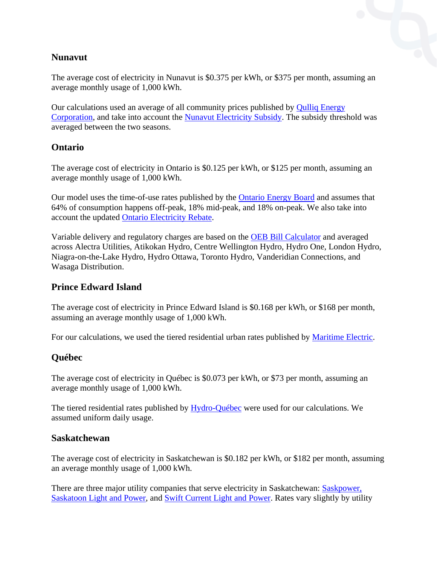#### **Nunavut**

The average cost of electricity in Nunavut is \$0.375 per kWh, or \$375 per month, assuming an average monthly usage of 1,000 kWh.

Our calculations used an average of all community prices published by **Qulliq Energy** [Corporation,](https://www.qec.nu.ca/customer-care/accounts-and-billing/customer-rates) and take into account the [Nunavut Electricity Subsidy.](https://www.gov.nu.ca/sites/default/files/files/NU%20Electricity%20Subsidy%20Program%20Contribution%20Policy.pdf) The subsidy threshold was averaged between the two seasons.

#### <span id="page-10-0"></span>**Ontario**

The average cost of electricity in Ontario is \$0.125 per kWh, or \$125 per month, assuming an average monthly usage of 1,000 kWh.

Our model uses the time-of-use rates published by the [Ontario Energy Board](https://www.oeb.ca/rates-and-your-bill/electricity-rates) and assumes that 64% of consumption happens off-peak, 18% mid-peak, and 18% on-peak. We also take into account the updated [Ontario Electricity Rebate.](http://www.ieso.ca/en/Sector-Participants/IESO-News/2019/10/Ontario-Electricity-Rebate-to-take-effect-on-November-1)

Variable delivery and regulatory charges are based on the [OEB Bill Calculator](https://www.oeb.ca/consumer-protection/energy-contracts/bill-calculator) and averaged across Alectra Utilities, Atikokan Hydro, Centre Wellington Hydro, Hydro One, London Hydro, Niagra-on-the-Lake Hydro, Hydro Ottawa, Toronto Hydro, Vanderidian Connections, and Wasaga Distribution.

#### <span id="page-10-1"></span>**Prince Edward Island**

The average cost of electricity in Prince Edward Island is \$0.168 per kWh, or \$168 per month, assuming an average monthly usage of 1,000 kWh.

For our calculations, we used the tiered residential urban rates published by [Maritime Electric.](https://www.maritimeelectric.com/about-us/regulatory/rates-and-general-rules-and-regulations/)

#### <span id="page-10-2"></span>**Québec**

The average cost of electricity in Québec is \$0.073 per kWh, or \$73 per month, assuming an average monthly usage of 1,000 kWh.

The tiered residential rates published by [Hydro-Québec](http://www.hydroquebec.com/residential/customer-space/rates/rate-d.html) were used for our calculations. We assumed uniform daily usage.

#### <span id="page-10-3"></span>**Saskatchewan**

The average cost of electricity in Saskatchewan is \$0.182 per kWh, or \$182 per month, assuming an average monthly usage of 1,000 kWh.

There are three major utility companies that serve electricity in Saskatchewan: [Saskpower,](https://www.saskpower.com/Accounts-and-Services/Billing/Power-Rates/Power-Supply-Rates) [Saskatoon Light and Power,](https://www.saskatoon.ca/services-residents/power-water/saskatoon-light-power/electrical-rates) and [Swift Current Light and Power.](http://www.swiftcurrent.ca/home/showdocument?id=13465) Rates vary slightly by utility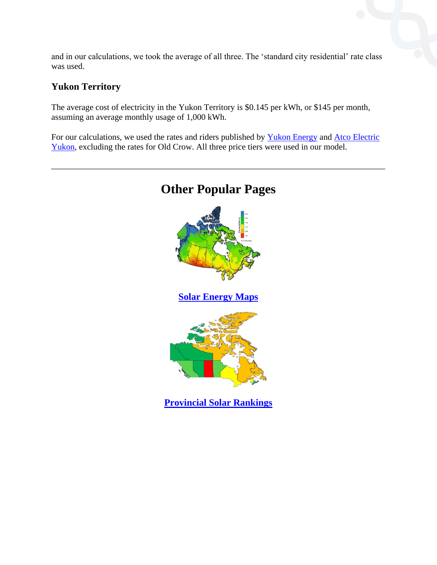and in our calculations, we took the average of all three. The 'standard city residential' rate class was used.

#### <span id="page-11-0"></span>**Yukon Territory**

The average cost of electricity in the Yukon Territory is \$0.145 per kWh, or \$145 per month, assuming an average monthly usage of 1,000 kWh.

<span id="page-11-1"></span>For our calculations, we used the rates and riders published by [Yukon Energy](https://yukonenergy.ca/customer-service/accounts-billing/rate-schedules) and [Atco Electric](https://www.atcoelectricyukon.com/en-ca/customer-billing-rates/rates-regulations.html)  [Yukon,](https://www.atcoelectricyukon.com/en-ca/customer-billing-rates/rates-regulations.html) excluding the rates for Old Crow. All three price tiers were used in our model.

<span id="page-11-2"></span>

## **Other Popular Pages**

<span id="page-11-3"></span>**[Provincial Solar Rankings](https://energyhub.org/solar/)**